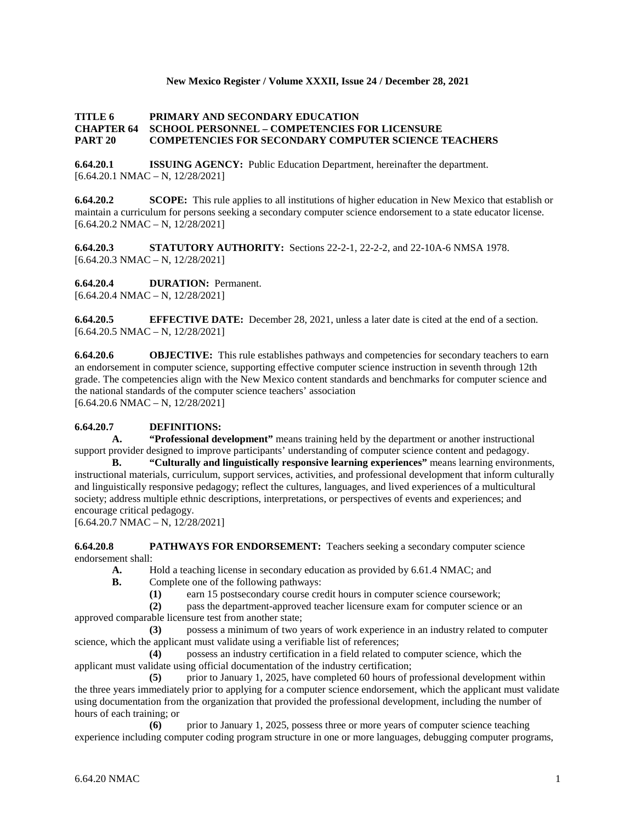## **New Mexico Register / Volume XXXII, Issue 24 / December 28, 2021**

## **TITLE 6 PRIMARY AND SECONDARY EDUCATION CHAPTER 64 SCHOOL PERSONNEL – COMPETENCIES FOR LICENSURE PART 20 COMPETENCIES FOR SECONDARY COMPUTER SCIENCE TEACHERS**

**6.64.20.1 ISSUING AGENCY:** Public Education Department, hereinafter the department.  $[6.64.20.1 \text{ NMAC} - \text{N}, 12/28/2021]$ 

**6.64.20.2 SCOPE:** This rule applies to all institutions of higher education in New Mexico that establish or maintain a curriculum for persons seeking a secondary computer science endorsement to a state educator license.  $[6.64.20.2 \text{ NMAC} - \text{N}, 12/28/2021]$ 

**6.64.20.3 STATUTORY AUTHORITY:** Sections 22-2-1, 22-2-2, and 22-10A-6 NMSA 1978.  $[6.64.20.3 \text{ NMAC} - \text{N}, 12/28/2021]$ 

**6.64.20.4 DURATION:** Permanent.

[6.64.20.4 NMAC – N, 12/28/2021]

**6.64.20.5 EFFECTIVE DATE:** December 28, 2021, unless a later date is cited at the end of a section.  $[6.64.20.5 \text{ NMAC} - \text{N}, 12/28/2021]$ 

**6.64.20.6 OBJECTIVE:** This rule establishes pathways and competencies for secondary teachers to earn an endorsement in computer science, supporting effective computer science instruction in seventh through 12th grade. The competencies align with the New Mexico content standards and benchmarks for computer science and the national standards of the computer science teachers' association [6.64.20.6 NMAC – N, 12/28/2021]

## **6.64.20.7 DEFINITIONS:**

**A. "Professional development"** means training held by the department or another instructional support provider designed to improve participants' understanding of computer science content and pedagogy.

**B. "Culturally and linguistically responsive learning experiences"** means learning environments, instructional materials, curriculum, support services, activities, and professional development that inform culturally and linguistically responsive pedagogy; reflect the cultures, languages, and lived experiences of a multicultural society; address multiple ethnic descriptions, interpretations, or perspectives of events and experiences; and encourage critical pedagogy.

 $[6.64.20.7 \text{ NMAC} - \text{N}, 12/28/2021]$ 

**6.64.20.8 PATHWAYS FOR ENDORSEMENT:** Teachers seeking a secondary computer science endorsement shall:

**A.** Hold a teaching license in secondary education as provided by 6.61.4 NMAC; and **B.** Complete one of the following pathways:

- **B.** Complete one of the following pathways:
	- **(1)** earn 15 postsecondary course credit hours in computer science coursework;

**(2)** pass the department-approved teacher licensure exam for computer science or an approved comparable licensure test from another state;

**(3)** possess a minimum of two years of work experience in an industry related to computer science, which the applicant must validate using a verifiable list of references;

**(4)** possess an industry certification in a field related to computer science, which the applicant must validate using official documentation of the industry certification;

**(5)** prior to January 1, 2025, have completed 60 hours of professional development within the three years immediately prior to applying for a computer science endorsement, which the applicant must validate using documentation from the organization that provided the professional development, including the number of hours of each training; or

**(6)** prior to January 1, 2025, possess three or more years of computer science teaching experience including computer coding program structure in one or more languages, debugging computer programs,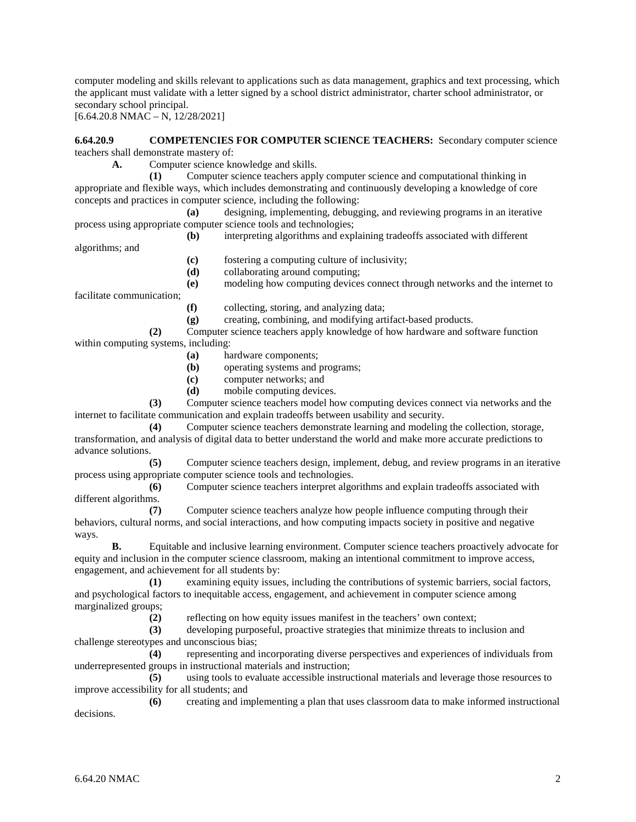computer modeling and skills relevant to applications such as data management, graphics and text processing, which the applicant must validate with a letter signed by a school district administrator, charter school administrator, or secondary school principal.

 $[6.64.20.8 \text{ NMAC} - \text{N}, 12/28/2021]$ 

**6.64.20.9 COMPETENCIES FOR COMPUTER SCIENCE TEACHERS:** Secondary computer science teachers shall demonstrate mastery of:

**A.** Computer science knowledge and skills.

**(1)** Computer science teachers apply computer science and computational thinking in appropriate and flexible ways, which includes demonstrating and continuously developing a knowledge of core concepts and practices in computer science, including the following:

**(a)** designing, implementing, debugging, and reviewing programs in an iterative process using appropriate computer science tools and technologies;

**(b)** interpreting algorithms and explaining tradeoffs associated with different

**(c)** fostering a computing culture of inclusivity;

**(d)** collaborating around computing;

**(e)** modeling how computing devices connect through networks and the internet to

facilitate communication;

algorithms; and

- **(f)** collecting, storing, and analyzing data;
- **(g)** creating, combining, and modifying artifact-based products.

**(2)** Computer science teachers apply knowledge of how hardware and software function within computing systems, including:

- **(a)** hardware components;
- **(b)** operating systems and programs;
- **(c)** computer networks; and
- **(d)** mobile computing devices.

**(3)** Computer science teachers model how computing devices connect via networks and the internet to facilitate communication and explain tradeoffs between usability and security.

**(4)** Computer science teachers demonstrate learning and modeling the collection, storage, transformation, and analysis of digital data to better understand the world and make more accurate predictions to advance solutions.

**(5)** Computer science teachers design, implement, debug, and review programs in an iterative process using appropriate computer science tools and technologies.

**(6)** Computer science teachers interpret algorithms and explain tradeoffs associated with different algorithms.

**(7)** Computer science teachers analyze how people influence computing through their behaviors, cultural norms, and social interactions, and how computing impacts society in positive and negative ways.

**B.** Equitable and inclusive learning environment. Computer science teachers proactively advocate for equity and inclusion in the computer science classroom, making an intentional commitment to improve access, engagement, and achievement for all students by:

**(1)** examining equity issues, including the contributions of systemic barriers, social factors, and psychological factors to inequitable access, engagement, and achievement in computer science among marginalized groups;

**(2)** reflecting on how equity issues manifest in the teachers' own context;

**(3)** developing purposeful, proactive strategies that minimize threats to inclusion and challenge stereotypes and unconscious bias;

**(4)** representing and incorporating diverse perspectives and experiences of individuals from underrepresented groups in instructional materials and instruction;

**(5)** using tools to evaluate accessible instructional materials and leverage those resources to improve accessibility for all students; and

**(6)** creating and implementing a plan that uses classroom data to make informed instructional decisions.